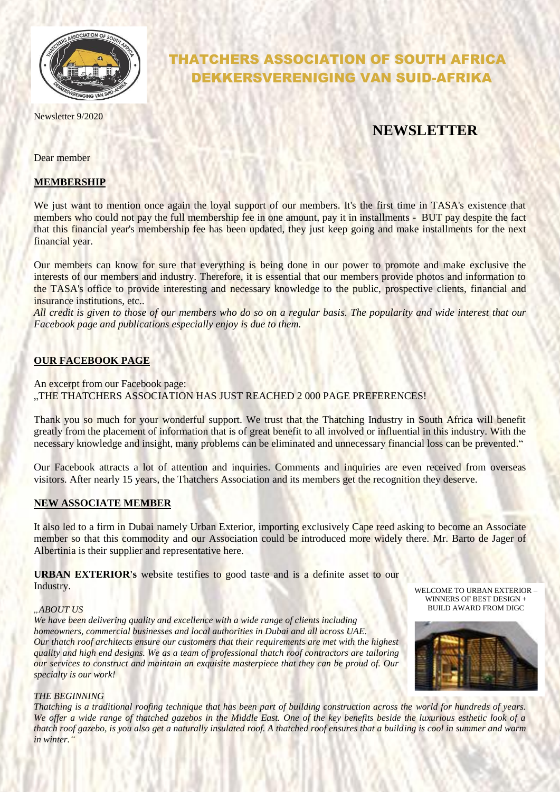

Newsletter 9/2020

# THATCHERS ASSOCIATION OF SOUTH AFRICA DEKKERSVERENIGING VAN SUID-AFRIKA

## **NEWSLETTER**

Dear member

#### **MEMBERSHIP**

We just want to mention once again the loyal support of our members. It's the first time in TASA's existence that members who could not pay the full membership fee in one amount, pay it in installments - BUT pay despite the fact that this financial year's membership fee has been updated, they just keep going and make installments for the next financial year.

Our members can know for sure that everything is being done in our power to promote and make exclusive the interests of our members and industry. Therefore, it is essential that our members provide photos and information to the TASA's office to provide interesting and necessary knowledge to the public, prospective clients, financial and insurance institutions, etc..

*All credit is given to those of our members who do so on a regular basis. The popularity and wide interest that our Facebook page and publications especially enjoy is due to them.*

#### **OUR FACEBOOK PAGE**

An excerpt from our Facebook page: "THE THATCHERS ASSOCIATION HAS JUST REACHED 2 000 PAGE PREFERENCES!

Thank you so much for your wonderful support. We trust that the Thatching Industry in South Africa will benefit greatly from the placement of information that is of great benefit to all involved or influential in this industry. With the necessary knowledge and insight, many problems can be eliminated and unnecessary financial loss can be prevented."

Our Facebook attracts a lot of attention and inquiries. Comments and inquiries are even received from overseas visitors. After nearly 15 years, the Thatchers Association and its members get the recognition they deserve.

#### **NEW ASSOCIATE MEMBER**

It also led to a firm in Dubai namely Urban Exterior, importing exclusively Cape reed asking to become an Associate member so that this commodity and our Association could be introduced more widely there. Mr. Barto de Jager of Albertinia is their supplier and representative here.

**URBAN EXTERIOR's** website testifies to good taste and is a definite asset to our Industry.

#### *"ABOUT US*

*We have been delivering quality and excellence with a wide range of clients including homeowners, commercial businesses and local authorities in Dubai and all across UAE. Our thatch roof architects ensure our customers that their requirements are met with the highest quality and high end designs. We as a team of professional thatch roof contractors are tailoring our services to construct and maintain an exquisite masterpiece that they can be proud of. Our specialty is our work!*





#### *THE BEGINNING*

*Thatching is a traditional roofing technique that has been part of building construction across the world for hundreds of years. We offer a wide range of thatched gazebos in the Middle East. One of the key benefits beside the luxurious esthetic look of a thatch roof gazebo, is you also get a naturally insulated roof. A thatched roof ensures that a building is cool in summer and warm in winter."*